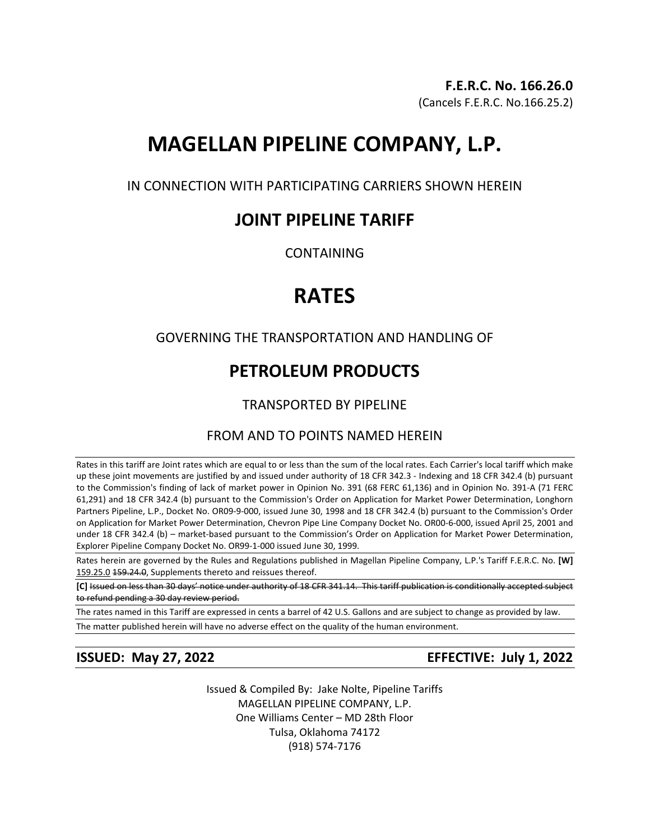# **MAGELLAN PIPELINE COMPANY, L.P.**

IN CONNECTION WITH PARTICIPATING CARRIERS SHOWN HEREIN

# **JOINT PIPELINE TARIFF**

CONTAINING

# **RATES**

### GOVERNING THE TRANSPORTATION AND HANDLING OF

# **PETROLEUM PRODUCTS**

## TRANSPORTED BY PIPELINE

### FROM AND TO POINTS NAMED HEREIN

Rates in this tariff are Joint rates which are equal to or less than the sum of the local rates. Each Carrier's local tariff which make up these joint movements are justified by and issued under authority of 18 CFR 342.3 - Indexing and 18 CFR 342.4 (b) pursuant to the Commission's finding of lack of market power in Opinion No. 391 (68 FERC 61,136) and in Opinion No. 391-A (71 FERC 61,291) and 18 CFR 342.4 (b) pursuant to the Commission's Order on Application for Market Power Determination, Longhorn Partners Pipeline, L.P., Docket No. OR09-9-000, issued June 30, 1998 and 18 CFR 342.4 (b) pursuant to the Commission's Order on Application for Market Power Determination, Chevron Pipe Line Company Docket No. OR00-6-000, issued April 25, 2001 and under 18 CFR 342.4 (b) – market-based pursuant to the Commission's Order on Application for Market Power Determination, Explorer Pipeline Company Docket No. OR99-1-000 issued June 30, 1999.

Rates herein are governed by the Rules and Regulations published in Magellan Pipeline Company, L.P.'s Tariff F.E.R.C. No. **[W]** 159.25.0 159.24.0, Supplements thereto and reissues thereof.

**[C]** Issued on less than 30 days' notice under authority of 18 CFR 341.14. This tariff publication is conditionally accepted subject to refund pending a 30 day review period.

The rates named in this Tariff are expressed in cents a barrel of 42 U.S. Gallons and are subject to change as provided by law. The matter published herein will have no adverse effect on the quality of the human environment.

**ISSUED: May 27, 2022 EFFECTIVE: July 1, 2022**

Issued & Compiled By: Jake Nolte, Pipeline Tariffs MAGELLAN PIPELINE COMPANY, L.P. One Williams Center – MD 28th Floor Tulsa, Oklahoma 74172 (918) 574-7176